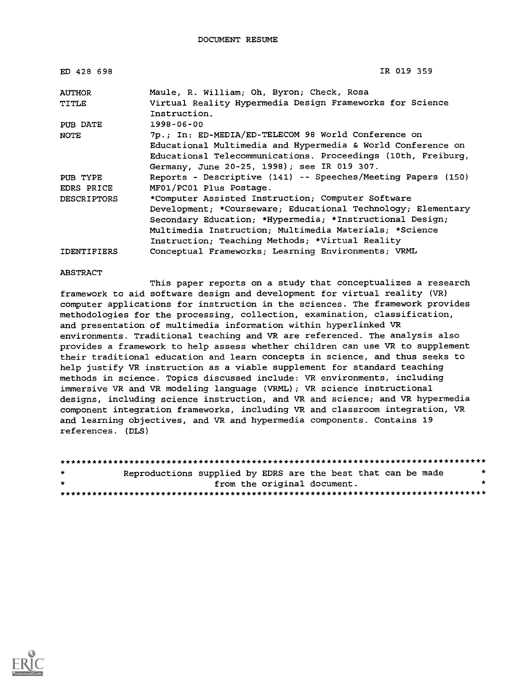| ED 428 698         | IR 019 359                                                               |
|--------------------|--------------------------------------------------------------------------|
| <b>AUTHOR</b>      | Maule, R. William; Oh, Byron; Check, Rosa                                |
| TITLE              | Virtual Reality Hypermedia Design Frameworks for Science<br>Instruction. |
| PUB DATE           | 1998-06-00                                                               |
| <b>NOTE</b>        | 7p.; In: ED-MEDIA/ED-TELECOM 98 World Conference on                      |
|                    | Educational Multimedia and Hypermedia & World Conference on              |
|                    | Educational Telecommunications. Proceedings (10th, Freiburg,             |
|                    | Germany, June 20-25, 1998); see IR 019 307.                              |
| PUB TYPE           | Reports - Descriptive (141) -- Speeches/Meeting Papers (150)             |
| EDRS PRICE         | MF01/PC01 Plus Postage.                                                  |
| <b>DESCRIPTORS</b> | *Computer Assisted Instruction; Computer Software                        |
|                    | Development; *Courseware; Educational Technology; Elementary             |
|                    | Secondary Education; *Hypermedia; *Instructional Design;                 |
|                    | Multimedia Instruction; Multimedia Materials; *Science                   |
|                    | Instruction; Teaching Methods; *Virtual Reality                          |
| <b>IDENTIFIERS</b> | Conceptual Frameworks; Learning Environments; VRML                       |

#### ABSTRACT

This paper reports on a study that conceptualizes a research framework to aid software design and development for virtual reality (VR) computer applications for instruction in the sciences. The framework provides methodologies for the processing, collection, examination, classification, and presentation of multimedia information within hyperlinked VR environments. Traditional teaching and VR are referenced. The analysis also provides a framework to help assess whether children can use VR to supplement their traditional education and learn concepts in science, and thus seeks to help justify VR instruction as a viable supplement for standard teaching methods in science. Topics discussed include: VR environments, including immersive VR and VR modeling language (VRML); VR science instructional designs, including science instruction, and VR and science; and VR hypermedia component integration frameworks, including VR and classroom integration, VR and learning objectives, and VR and hypermedia components. Contains 19 references. (DLS)

| $\star$ | Reproductions supplied by EDRS are the best that can be made |  |                             |  | * |
|---------|--------------------------------------------------------------|--|-----------------------------|--|---|
| $\star$ |                                                              |  | from the original document. |  |   |
|         |                                                              |  |                             |  |   |

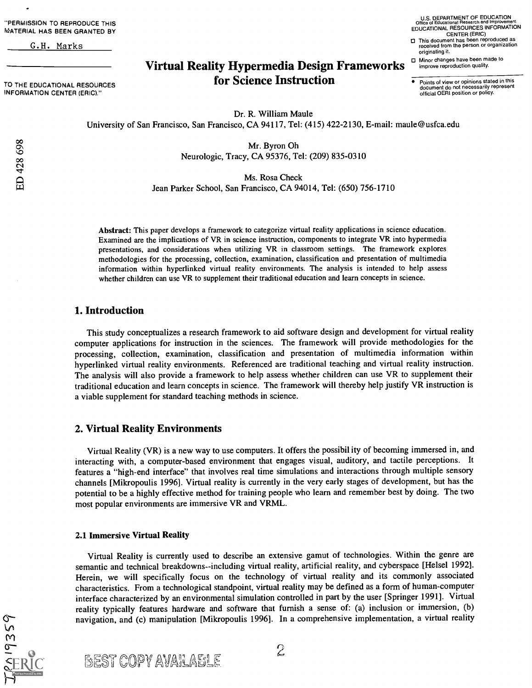"PERMISSION TO REPRODUCE THIS MATERIAL HAS BEEN GRANTED BY

G.H. Marks

TO THE EDUCATIONAL RESOURCES INFORMATION CENTER (ERIC)."

U.S. DEPARTMENT OF EDUCATION Office of Educational Research and Improvement EDUCATIONAL RESOURCES INFORMATION CENTER (ERIC) O This document has been reproduced as received from the person or organization originating it.

# Virtual Reality Hypermedia Design Frameworks for Science Instruction

Points of view or opinions stated in this document do not necessarily represent official OERI position or policy.

O Minor changes have been made to improve reproduction quality.

Dr. R. William Maule University of San Francisco, San Francisco, CA 94117, Tel: (415) 422-2130, E-mail: maule@usfca.edu

> Mr. Byron Oh Neurologic, Tracy, CA 95376, Tel: (209) 835-0310

> > Ms. Rosa Check

Jean Parker School, San Francisco, CA 94014, Tel: (650) 756-1710

Abstract: This paper develops a framework to categorize virtual reality applications in science education. Examined are the implications of VR in science instruction, components to integrate VR into hypermedia presentations, and considerations when utilizing VR in classroom settings. The framework explores methodologies for the processing, collection, examination, classification and presentation of multimedia information within hyperlinked virtual reality environments. The analysis is intended to help assess whether children can use VR to supplement their traditional education and learn concepts in science.

# 1. Introduction

This study conceptualizes a research framework to aid software design and development for virtual reality computer applications for instruction in the sciences. The framework will provide methodologies for the processing, collection, examination, classification and presentation of multimedia information within hyperlinked virtual reality environments. Referenced are traditional teaching and virtual reality instruction. The analysis will also provide a framework to help assess whether children can use VR to supplement their traditional education and learn concepts in science. The framework will thereby help justify VR instruction is a viable supplement for standard teaching methods in science.

# 2. Virtual Reality Environments

Virtual Reality (VR) is a new way to use computers. It offers the possibil ity of becoming immersed in, and interacting with, a computer-based environment that engages visual, auditory, and tactile perceptions. It features a "high-end interface" that involves real time simulations and interactions through multiple sensory channels [Mikropoulis 1996]. Virtual reality is currently in the very early stages of development, but has the potential to be a highly effective method for training people who learn and remember best by doing. The two most popular environments are immersive VR and VRML.

#### 2.1 Immersive Virtual Reality

Virtual Reality is currently used to describe an extensive gamut of technologies. Within the genre are semantic and technical breakdowns--including virtual reality, artificial reality, and cyberspace [Helsel 1992]. Herein, we will specifically focus on the technology of virtual reality and its commonly associated characteristics. From a technological standpoint, virtual reality may be defined as a form of human-computer interface characterized by an environmental simulation controlled in part by the user [Springer 19911. Virtual reality typically features hardware and software that furnish a sense of: (a) inclusion or immersion, (b) navigation, and (c) manipulation [Mikropoulis 1996]. In a comprehensive implementation, a virtual reality

 $9359$ 

*BEST COPY AVAILABLE*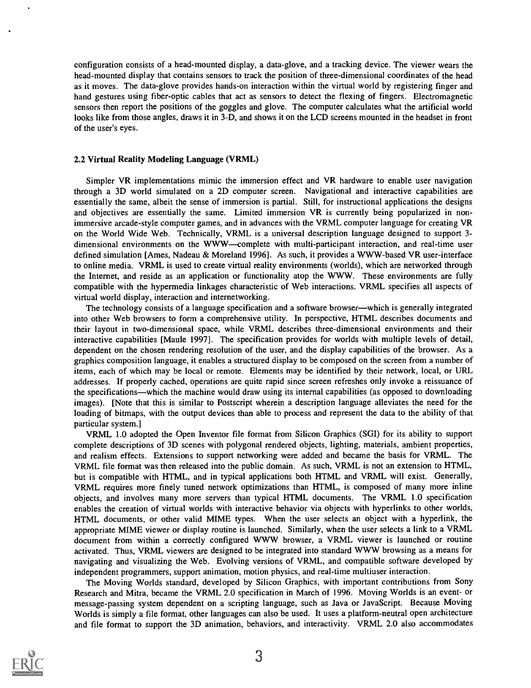configuration consists of a head-mounted display, a data-glove, and a tracking device. The viewer wears the head-mounted display that contains sensors to track the position of three-dimensional coordinates of the head as it moves. The data-glove provides hands-on interaction within the virtual world by registering finger and hand gestures using fiber-optic cables that act as sensors to detect the flexing of fingers. Electromagnetic sensors then report the positions of the goggles and glove. The computer calculates what the artificial world looks like from those angles, draws it in 3-D, and shows it on the LCD screens mounted in the headset in front of the user's eyes.

#### 2.2 Virtual Reality Modeling Language (VRML)

Simpler VR implementations mimic the immersion effect and VR hardware to enable user navigation through a 3D world simulated on a 2D computer screen. Navigational and interactive capabilities are essentially the same, albeit the sense of immersion is partial. Still, for instructional applications the designs and objectives are essentially the same. Limited immersion VR is currently being popularized in nonimmersive arcade-style computer games, and in advances with the VRML computer language for creating VR on the World Wide Web. Technically, VRML is a universal description language designed to support 3 dimensional environments on the WWW-complete with multi-participant interaction, and real-time user defined simulation [Ames, Nadeau & Moreland 1996]. As such, it provides a WWW-based VR user-interface to online media. VRML is used to create virtual reality environments (worlds), which are networked through the Internet, and reside as an application or functionality atop the WWW. These environments are fully compatible with the hypermedia linkages characteristic of Web interactions. VRML specifies all aspects of virtual world display, interaction and internetworking.

The technology consists of a language specification and a software browser—which is generally integrated into other Web browsers to form a comprehensive utility. In perspective, HTML describes documents and their layout in two-dimensional space, while VRML describes three-dimensional environments and their interactive capabilities [Maule 1997]. The specification provides for worlds with multiple levels of detail, dependent on the chosen rendering resolution of the user, and the display capabilities of the browser. As a graphics composition language, it enables a structured display to be composed on the screen from a number of items, each of which may be local or remote. Elements may be identified by their network, local, or URL addresses. If properly cached, operations are quite rapid since screen refreshes only invoke a reissuance of the specifications—which the machine would draw using its internal capabilities (as opposed to downloading images). [Note that this is similar to Postscript wherein a description language alleviates the need for the loading of bitmaps, with the output devices than able to process and represent the data to the ability of that particular system.]

VRML 1.0 adopted the Open Inventor file format from Silicon Graphics (SGI) for its ability to support complete descriptions of 3D scenes with polygonal rendered objects, lighting, materials, ambient properties, and realism effects. Extensions to support networking were added and became the basis for VRML. The VRML file format was then released into the public domain. As such, VRML is not an extension to HTML, but is compatible with HTML, and in typical applications both HTML and VRML will exist. Generally, VRML requires more finely tuned network optimizations than HTML, is composed of many more inline objects, and involves many more servers than typical HTML documents. The VRML 1.0 specification enables the creation of virtual worlds with interactive behavior via objects with hyperlinks to other worlds, HTML documents, or other valid MIME types. When the user selects an object with a hyperlink, the appropriate MIME viewer or display routine is launched. Similarly, when the user selects a link to a VRML document from within a correctly configured WWW browser, a VRML viewer is launched or routine activated. Thus, VRML viewers are designed to be integrated into standard WWW browsing as a means for navigating and visualizing the Web. Evolving versions of VRML, and compatible software developed by independent programmers, support animation, motion physics, and real-time multiuser interaction.

The Moving Worlds standard, developed by Silicon Graphics, with important contributions from Sony Research and Mitra, became the VRML 2.0 specification in March of 1996. Moving Worlds is an event- or message-passing system dependent on a scripting language, such as Java or JavaScript. Because Moving Worlds is simply a file format, other languages can also be used. It uses a platform-neutral open architecture and file format to support the 3D animation, behaviors, and interactivity. VRML 2.0 also accommodates

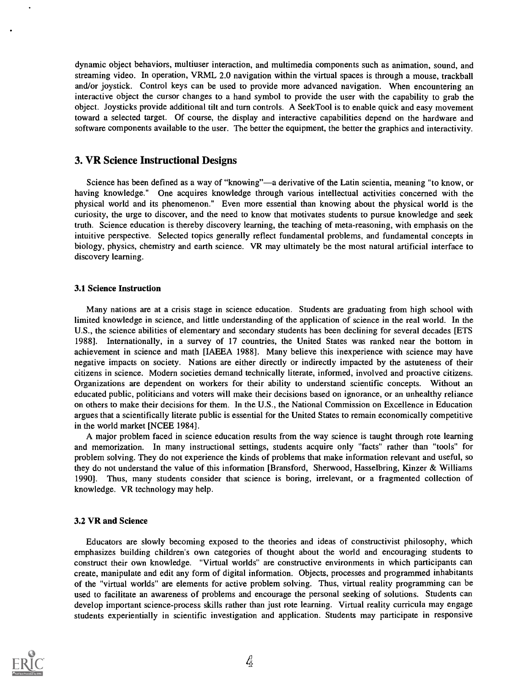dynamic object behaviors, multiuser interaction, and multimedia components such as animation, sound, and streaming video. In operation, VRML 2.0 navigation within the virtual spaces is through a mouse, trackball and/or joystick. Control keys can be used to provide more advanced navigation. When encountering an interactive object the cursor changes to a hand symbol to provide the user with the capability to grab the object. Joysticks provide additional tilt and turn controls. A Seek Tool is to enable quick and easy movement toward a selected target. Of course, the display and interactive capabilities depend on the hardware and software components available to the user. The better the equipment, the better the graphics and interactivity.

# 3. VR Science Instructional Designs

Science has been defined as a way of "knowing"—a derivative of the Latin scientia, meaning "to know, or having knowledge." One acquires knowledge through various intellectual activities concerned with the physical world and its phenomenon." Even more essential than knowing about the physical world is the curiosity, the urge to discover, and the need to know that motivates students to pursue knowledge and seek truth. Science education is thereby discovery learning, the teaching of meta-reasoning, with emphasis on the intuitive perspective. Selected topics generally reflect fundamental problems, and fundamental concepts in biology, physics, chemistry and earth science. VR may ultimately be the most natural artificial interface to discovery learning.

#### 3.1 Science Instruction

Many nations are at a crisis stage in science education. Students are graduating from high school with limited knowledge in science, and little understanding of the application of science in the real world. In the U.S., the science abilities of elementary and secondary students has been declining for several decades [ETS 1988]. Internationally, in a survey of 17 countries, the United States was ranked near the bottom in achievement in science and math [IAEEA 19881. Many believe this inexperience with science may have negative impacts on society. Nations are either directly or indirectly impacted by the astuteness of their citizens in science. Modern societies demand technically literate, informed, involved and proactive citizens. Organizations are dependent on workers for their ability to understand scientific concepts. Without an educated public, politicians and voters will make their decisions based on ignorance, or an unhealthy reliance on others to make their decisions for them. In the U.S., the National Commission on Excellence in Education argues that a scientifically literate public is essential for the United States to remain economically competitive in the world market [NCEE 1984].

A major problem faced in science education results from the way science is taught through rote learning and memorization. In many instructional settings, students acquire only "facts" rather than "tools" for problem solving. They do not experience the kinds of problems that make information relevant and useful, so they do not understand the value of this information [Bransford, Sherwood, Hasselbring, Kinzer & Williams 1990]. Thus, many students consider that science is boring, irrelevant, or a fragmented collection of knowledge. VR technology may help.

#### 3.2 VR and Science

Educators are slowly becoming exposed to the theories and ideas of constructivist philosophy, which emphasizes building children's own categories of thought about the world and encouraging students to construct their own knowledge. "Virtual worlds" are constructive environments in which participants can create, manipulate and edit any form of digital information. Objects, processes and programmed inhabitants of the "virtual worlds" are elements for active problem solving. Thus, virtual reality programming can be used to facilitate an awareness of problems and encourage the personal seeking of solutions. Students can develop important science-process skills rather than just rote learning. Virtual reality curricula may engage students experientially in scientific investigation and application. Students may participate in responsive

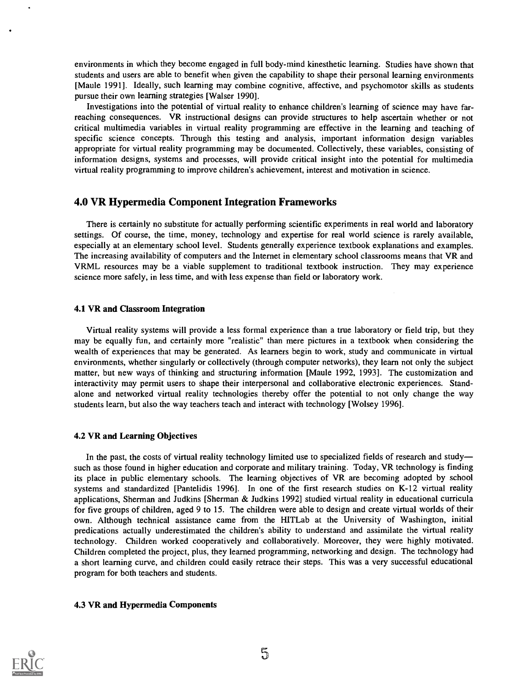environments in which they become engaged in full body-mind kinesthetic learning. Studies have shown that students and users are able to benefit when given the capability to shape their personal learning environments [Maule 1991]. Ideally, such learning may combine cognitive, affective, and psychomotor skills as students pursue their own learning strategies [Walser 1990].

Investigations into the potential of virtual reality to enhance children's learning of science may have farreaching consequences. VR instructional designs can provide structures to help ascertain whether or not critical multimedia variables in virtual reality programming are effective in the learning and teaching of specific science concepts. Through this testing and analysis, important information design variables appropriate for virtual reality programming may be documented. Collectively, these variables, consisting of information designs, systems and processes, will provide critical insight into the potential for multimedia virtual reality programming to improve children's achievement, interest and motivation in science.

## 4.0 VR Hypermedia Component Integration Frameworks

There is certainly no substitute for actually performing scientific experiments in real world and laboratory settings. Of course, the time, money, technology and expertise for real world science is rarely available, especially at an elementary school level. Students generally experience textbook explanations and examples. The increasing availability of computers and the Internet in elementary school classrooms means that VR and VRML resources may be a viable supplement to traditional textbook instruction. They may experience science more safely, in less time, and with less expense than field or laboratory work.

#### 4.1 VR and Classroom Integration

Virtual reality systems will provide a less formal experience than a true laboratory or field trip, but they may be equally fun, and certainly more "realistic" than mere pictures in a textbook when considering the wealth of experiences that may be generated. As learners begin to work, study and communicate in virtual environments, whether singularly or collectively (through computer networks), they learn not only the subject matter, but new ways of thinking and structuring information [Maule 1992, 1993]. The customization and interactivity may permit users to shape their interpersonal and collaborative electronic experiences. Standalone and networked virtual reality technologies thereby offer the potential to not only change the way students learn, but also the way teachers teach and interact with technology [Wolsey 1996].

# 4.2 VR and Learning Objectives

In the past, the costs of virtual reality technology limited use to specialized fields of research and study such as those found in higher education and corporate and military training. Today, VR technology is finding its place in public elementary schools. The learning objectives of VR are becoming adopted by school systems and standardized [Pantelidis 1996]. In one of the first research studies on K-12 virtual reality applications, Sherman and Judkins [Sherman & Judkins 1992] studied virtual reality in educational curricula for five groups of children, aged 9 to 15. The children were able to design and create virtual worlds of their own. Although technical assistance came from the HITLab at the University of Washington, initial predications actually underestimated the children's ability to understand and assimilate the virtual reality technology. Children worked cooperatively and collaboratively. Moreover, they were highly motivated. Children completed the project, plus, they learned programming, networking and design. The technology had a short learning curve, and children could easily retrace their steps. This was a very successful educational program for both teachers and students.

#### 4.3 VR and Hypermedia Components

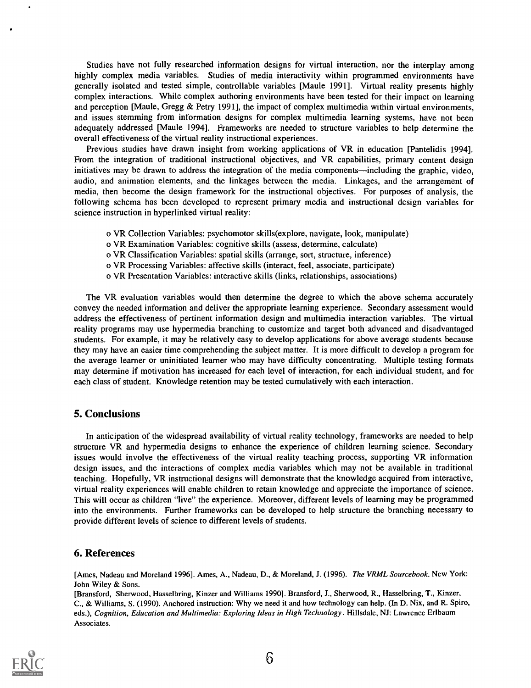Studies have not fully researched information designs for virtual interaction, nor the interplay among highly complex media variables. Studies of media interactivity within programmed environments have generally isolated and tested simple, controllable variables [Maule 1991]. Virtual reality presents highly complex interactions. While complex authoring environments have been tested for their impact on learning and perception [Maule, Gregg & Petry 1991], the impact of complex multimedia within virtual environments, and issues stemming from information designs for complex multimedia learning systems, have not been adequately addressed [Maule 1994]. Frameworks are needed to structure variables to help determine the overall effectiveness of the virtual reality instructional experiences.

Previous studies have drawn insight from working applications of VR in education [Pantelidis 1994]. From the integration of traditional instructional objectives, and VR capabilities, primary content design initiatives may be drawn to address the integration of the media components—including the graphic, video, audio, and animation elements, and the linkages between the media. Linkages, and the arrangement of media, then become the design framework for the instructional objectives. For purposes of analysis, the following schema has been developed to represent primary media and instructional design variables for science instruction in hyperlinked virtual reality:

- o VR Collection Variables: psychomotor skills(explore, navigate, look, manipulate)
- o VR Examination Variables: cognitive skills (assess, determine, calculate)
- o VR Classification Variables: spatial skills (arrange, sort, structure, inference)
- o VR Processing Variables: affective skills (interact, feel, associate, participate)
- o VR Presentation Variables: interactive skills (links, relationships, associations)

The VR evaluation variables would then determine the degree to which the above schema accurately convey the needed information and deliver the appropriate learning experience. Secondary assessment would address the effectiveness of pertinent information design and multimedia interaction variables. The virtual reality programs may use hypermedia branching to customize and target both advanced and disadvantaged students. For example, it may be relatively easy to develop applications for above average students because they may have an easier time comprehending the subject matter. It is more difficult to develop a program for the average learner or uninitiated learner who may have difficulty concentrating. Multiple testing formats may determine if motivation has increased for each level of interaction, for each individual student, and for each class of student. Knowledge retention may be tested cumulatively with each interaction.

# 5. Conclusions

In anticipation of the widespread availability of virtual reality technology, frameworks are needed to help structure VR and hypermedia designs to enhance the experience of children learning science. Secondary issues would involve the effectiveness of the virtual reality teaching process, supporting VR information design issues, and the interactions of complex media variables which may not be available in traditional teaching. Hopefully, VR instructional designs will demonstrate that the knowledge acquired from interactive, virtual reality experiences will enable children to retain knowledge and appreciate the importance of science. This will occur as children "live" the experience. Moreover, different levels of learning may be programmed into the environments. Further frameworks can be developed to help structure the branching necessary to provide different levels of science to different levels of students.

## 6. References

[Ames, Nadeau and Moreland 1996]. Ames, A., Nadeau, D., & Moreland, J. (1996). The VRML Sourcebook. New York: John Wiley & Sons.

[Bransford, Sherwood, Hasselbring, Kinzer and Williams 1990]. Bransford, J., Sherwood, R., Hasselbring, T., Kinzer, C., & Williams, S. (1990). Anchored instruction: Why we need it and how technology can help. (In D. Nix, and R. Spiro, eds.), Cognition, Education and Multimedia: Exploring Ideas in High Technology. Hillsdale, NJ: Lawrence Erlbaum Associates.

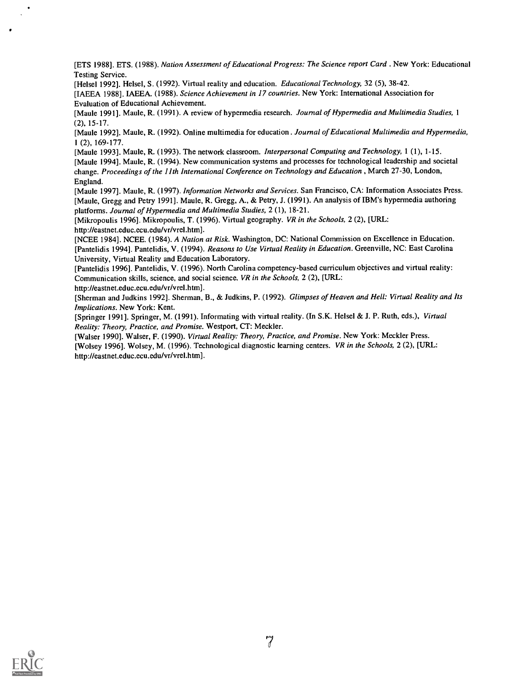[ETS 1988]. ETS. (1988). Nation Assessment of Educational Progress: The Science report Card . New York: Educational Testing Service.

[Helsel 1992]. Helsel, S. (1992). Virtual reality and education. Educational Technology, 32 (5), 38-42.

[IAEEA 1988]. IAEEA. (1988). Science Achievement in 17 countries. New York: International Association for Evaluation of Educational Achievement.

[Maule 1991]. Maule, R. (1991). A review of hypermedia research. Journal of Hypermedia and Multimedia Studies, 1 (2), 15-17.

[Maule 1992]. Maule, R. (1992). Online multimedia for education . Journal of Educational Multimedia and Hypermedia, 1 (2), 169-177.

[Maule 1993]. Maule, R. (1993). The network classroom. Interpersonal Computing and Technology, 1 (1), 1-15. [Maule 1994]. Maule, R. (1994). New communication systems and processes for technological leadership and societal change. Proceedings of the I Ith International Conference on Technology and Education , March 27-30, London, England.

[Maule 1997]. Maule, R. (1997). Information Networks and Services. San Francisco, CA: Information Associates Press. [Maule, Gregg and Petry 1991]. Maule, R. Gregg, A., & Petry, J. (1991). An analysis of IBM's hypermedia authoring platforms. Journal of Hypermedia and Multimedia Studies, 2 (1), 18-21.

[Mikropoulis 1996]. Mikropoulis, T. (1996). Virtual geography. VR in the Schools, 2 (2), [URL: http://eastnet.educ.ecu.edu/vr/vrel.htm].

[NCEE 1984]. NCEE. (1984). A Nation at Risk. Washington, DC: National Commission on Excellence in Education. [Pantelidis 1994]. Pantelidis, V. (1994). Reasons to Use Virtual Reality in Education. Greenville, NC: East Carolina University, Virtual Reality and Education Laboratory.

[Pantelidis 1996]. Pantelidis, V. (1996). North Carolina competency-based curriculum objectives and virtual reality: Communication skills, science, and social science. VR in the Schools, 2 (2), [URL:

http://eastnet.educ.ecu.edu/vr/vrel.htm].

[Sherman and Judkins 1992]. Sherman, B., & Judkins, P. (1992). Glimpses of Heaven and Hell: Virtual Reality and Its Implications. New York: Kent.

[Springer 1991]. Springer, M. (1991). Informating with virtual reality. (In S.K. Helsel & J. P. Ruth, eds.), Virtual Reality: Theory, Practice, and Promise. Westport, CT: Meckler.

[Walser 1990]. Walser, F. (1990). Virtual Reality: Theory, Practice, and Promise. New York: Meckler Press. [Wolsey 1996]. Wolsey, M. (1996). Technological diagnostic learning centers. VR in the Schools, 2 (2), [URL: http://eastnet.educ.ecu.edu/vr/vrel.htm].